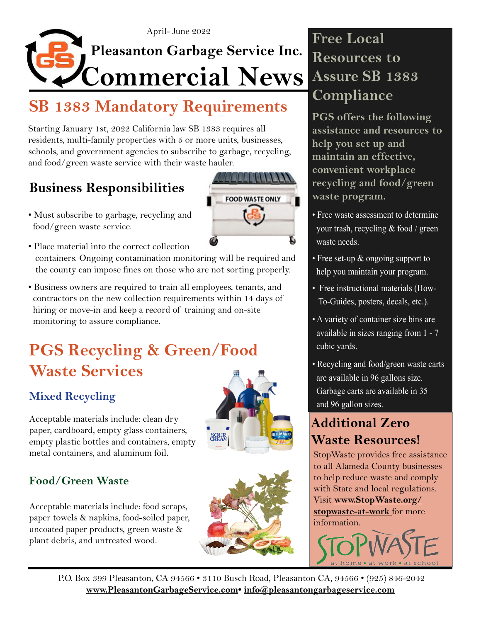

## **SB 1383 Mandatory Requirements**

Starting January 1st, 2022 California law SB 1383 requires all residents, multi-family properties with 5 or more units, businesses, schools, and government agencies to subscribe to garbage, recycling, and food/green waste service with their waste hauler.

### **Business Responsibilities**

• Must subscribe to garbage, recycling and food/green waste service.



• Place material into the correct collection

 containers. Ongoing contamination monitoring will be required and the county can impose fines on those who are not sorting properly.

• Business owners are required to train all employees, tenants, and contractors on the new collection requirements within 14 days of hiring or move-in and keep a record of training and on-site monitoring to assure compliance.

## **PGS Recycling & Green/Food Waste Services**

#### **Mixed Recycling**

**Food/Green Waste**

Acceptable materials include: clean dry paper, cardboard, empty glass containers, empty plastic bottles and containers, empty metal containers, and aluminum foil.

Acceptable materials include: food scraps, paper towels & napkins, food-soiled paper, uncoated paper products, green waste &

plant debris, and untreated wood.

# **HELLMA SOUR**<br>CREAM



## **Free Local Resources to Assure SB 1383 Compliance**

**PGS offers the following assistance and resources to help you set up and maintain an effective, convenient workplace recycling and food/green waste program.**

- Free waste assessment to determine your trash, recycling & food / green waste needs.
- Free set-up & ongoing support to help you maintain your program.
- Free instructional materials (How- To-Guides, posters, decals, etc.).
- A variety of container size bins are available in sizes ranging from 1 - 7 cubic yards.
- Recycling and food/green waste carts are available in 96 gallons size. Garbage carts are available in 35 and 96 gallon sizes.

### **Additional Zero Waste Resources!**

StopWaste provides free assistance to all Alameda County businesses to help reduce waste and comply with State and local regulations. Visit **[www.StopWaste.org/](https://www.stopwaste.org/stopwaste-at-work) [stopwaste-at-work](https://www.stopwaste.org/stopwaste-at-work)** for more information.